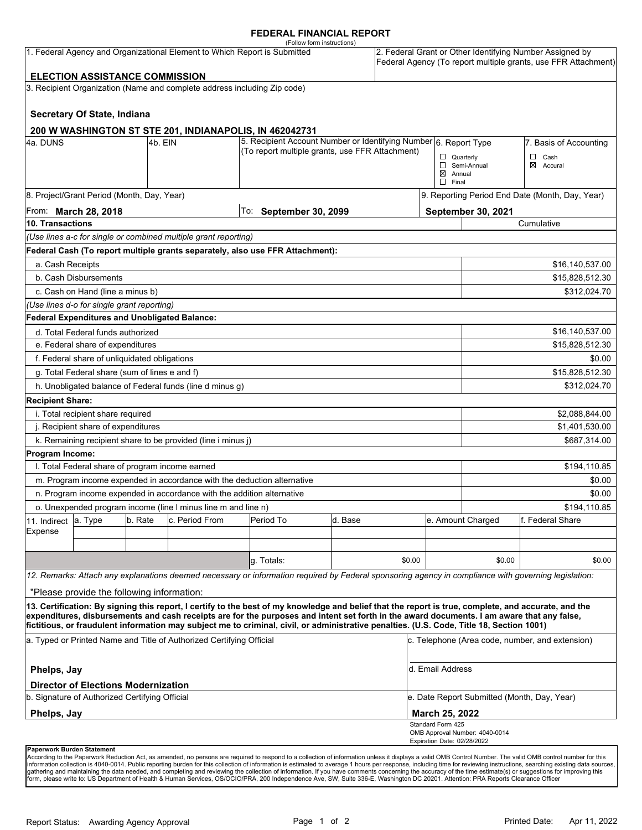#### **FEDERAL FINANCIAL REPORT**

|                                                                                                                                                                                                                   |                                                                                                                                |         |                                                                          | (Follow form instructions)                                                                                                                                                                                                                                                                         |         |        |                                                                                                                            |                                                 |                   |  |
|-------------------------------------------------------------------------------------------------------------------------------------------------------------------------------------------------------------------|--------------------------------------------------------------------------------------------------------------------------------|---------|--------------------------------------------------------------------------|----------------------------------------------------------------------------------------------------------------------------------------------------------------------------------------------------------------------------------------------------------------------------------------------------|---------|--------|----------------------------------------------------------------------------------------------------------------------------|-------------------------------------------------|-------------------|--|
| 1. Federal Agency and Organizational Element to Which Report is Submitted<br><b>ELECTION ASSISTANCE COMMISSION</b>                                                                                                |                                                                                                                                |         |                                                                          |                                                                                                                                                                                                                                                                                                    |         |        | 2. Federal Grant or Other Identifying Number Assigned by<br>Federal Agency (To report multiple grants, use FFR Attachment) |                                                 |                   |  |
|                                                                                                                                                                                                                   |                                                                                                                                |         |                                                                          |                                                                                                                                                                                                                                                                                                    |         |        |                                                                                                                            |                                                 |                   |  |
|                                                                                                                                                                                                                   |                                                                                                                                |         | 3. Recipient Organization (Name and complete address including Zip code) |                                                                                                                                                                                                                                                                                                    |         |        |                                                                                                                            |                                                 |                   |  |
|                                                                                                                                                                                                                   | Secretary Of State, Indiana                                                                                                    |         |                                                                          |                                                                                                                                                                                                                                                                                                    |         |        |                                                                                                                            |                                                 |                   |  |
|                                                                                                                                                                                                                   |                                                                                                                                |         | 200 W WASHINGTON ST STE 201, INDIANAPOLIS, IN 462042731                  |                                                                                                                                                                                                                                                                                                    |         |        |                                                                                                                            |                                                 |                   |  |
| 4a. DUNS                                                                                                                                                                                                          | 5. Recipient Account Number or Identifying Number 6. Report Type<br>4b. EIN<br>(To report multiple grants, use FFR Attachment) |         |                                                                          |                                                                                                                                                                                                                                                                                                    |         |        |                                                                                                                            | 7. Basis of Accounting                          |                   |  |
|                                                                                                                                                                                                                   |                                                                                                                                |         |                                                                          |                                                                                                                                                                                                                                                                                                    |         |        | $\Box$ Quarterly                                                                                                           |                                                 | $\Box$ Cash       |  |
|                                                                                                                                                                                                                   |                                                                                                                                |         |                                                                          |                                                                                                                                                                                                                                                                                                    |         |        | ⊠<br>Semi-Annual<br>Accural<br>$\boxtimes$ Annual                                                                          |                                                 |                   |  |
|                                                                                                                                                                                                                   |                                                                                                                                |         |                                                                          |                                                                                                                                                                                                                                                                                                    |         |        | $\Box$ Final                                                                                                               |                                                 |                   |  |
|                                                                                                                                                                                                                   | 8. Project/Grant Period (Month, Day, Year)                                                                                     |         |                                                                          |                                                                                                                                                                                                                                                                                                    |         |        |                                                                                                                            | 9. Reporting Period End Date (Month, Day, Year) |                   |  |
|                                                                                                                                                                                                                   | From: <b>March 28, 2018</b>                                                                                                    |         |                                                                          | To: September 30, 2099                                                                                                                                                                                                                                                                             |         |        | September 30, 2021                                                                                                         |                                                 |                   |  |
| 10. Transactions                                                                                                                                                                                                  |                                                                                                                                |         |                                                                          |                                                                                                                                                                                                                                                                                                    |         |        |                                                                                                                            |                                                 | Cumulative        |  |
|                                                                                                                                                                                                                   |                                                                                                                                |         | (Use lines a-c for single or combined multiple grant reporting)          |                                                                                                                                                                                                                                                                                                    |         |        |                                                                                                                            |                                                 |                   |  |
|                                                                                                                                                                                                                   |                                                                                                                                |         |                                                                          | Federal Cash (To report multiple grants separately, also use FFR Attachment):                                                                                                                                                                                                                      |         |        |                                                                                                                            |                                                 |                   |  |
| a. Cash Receipts                                                                                                                                                                                                  |                                                                                                                                |         |                                                                          |                                                                                                                                                                                                                                                                                                    |         |        |                                                                                                                            |                                                 | \$16,140,537.00   |  |
|                                                                                                                                                                                                                   | b. Cash Disbursements                                                                                                          |         |                                                                          |                                                                                                                                                                                                                                                                                                    |         |        |                                                                                                                            | \$15,828,512.30                                 |                   |  |
|                                                                                                                                                                                                                   | c. Cash on Hand (line a minus b)                                                                                               |         |                                                                          |                                                                                                                                                                                                                                                                                                    |         |        |                                                                                                                            |                                                 | \$312,024.70      |  |
|                                                                                                                                                                                                                   | (Use lines d-o for single grant reporting)                                                                                     |         |                                                                          |                                                                                                                                                                                                                                                                                                    |         |        |                                                                                                                            |                                                 |                   |  |
|                                                                                                                                                                                                                   | Federal Expenditures and Unobligated Balance:                                                                                  |         |                                                                          |                                                                                                                                                                                                                                                                                                    |         |        |                                                                                                                            |                                                 |                   |  |
| d. Total Federal funds authorized                                                                                                                                                                                 |                                                                                                                                |         |                                                                          |                                                                                                                                                                                                                                                                                                    |         |        |                                                                                                                            | \$16,140,537.00                                 |                   |  |
|                                                                                                                                                                                                                   | e. Federal share of expenditures                                                                                               |         |                                                                          |                                                                                                                                                                                                                                                                                                    |         |        |                                                                                                                            |                                                 | \$15,828,512.30   |  |
|                                                                                                                                                                                                                   | f. Federal share of unliquidated obligations                                                                                   |         |                                                                          |                                                                                                                                                                                                                                                                                                    |         |        |                                                                                                                            |                                                 | \$0.00            |  |
|                                                                                                                                                                                                                   | g. Total Federal share (sum of lines e and f)                                                                                  |         |                                                                          |                                                                                                                                                                                                                                                                                                    |         |        |                                                                                                                            |                                                 | \$15,828,512.30   |  |
|                                                                                                                                                                                                                   |                                                                                                                                |         | h. Unobligated balance of Federal funds (line d minus g)                 |                                                                                                                                                                                                                                                                                                    |         |        |                                                                                                                            |                                                 | \$312,024.70      |  |
| <b>Recipient Share:</b>                                                                                                                                                                                           |                                                                                                                                |         |                                                                          |                                                                                                                                                                                                                                                                                                    |         |        |                                                                                                                            |                                                 |                   |  |
|                                                                                                                                                                                                                   | i. Total recipient share required                                                                                              |         |                                                                          |                                                                                                                                                                                                                                                                                                    |         |        |                                                                                                                            |                                                 | \$2,088,844.00    |  |
| j. Recipient share of expenditures                                                                                                                                                                                |                                                                                                                                |         |                                                                          |                                                                                                                                                                                                                                                                                                    |         |        |                                                                                                                            | \$1,401,530.00                                  |                   |  |
|                                                                                                                                                                                                                   |                                                                                                                                |         | k. Remaining recipient share to be provided (line i minus j)             |                                                                                                                                                                                                                                                                                                    |         |        |                                                                                                                            |                                                 | \$687,314.00      |  |
| Program Income:                                                                                                                                                                                                   |                                                                                                                                |         |                                                                          |                                                                                                                                                                                                                                                                                                    |         |        |                                                                                                                            |                                                 |                   |  |
|                                                                                                                                                                                                                   | I. Total Federal share of program income earned                                                                                |         |                                                                          |                                                                                                                                                                                                                                                                                                    |         |        |                                                                                                                            |                                                 | \$194,110.85      |  |
|                                                                                                                                                                                                                   |                                                                                                                                |         | m. Program income expended in accordance with the deduction alternative  |                                                                                                                                                                                                                                                                                                    |         |        |                                                                                                                            | \$0.00                                          |                   |  |
|                                                                                                                                                                                                                   |                                                                                                                                |         | n. Program income expended in accordance with the addition alternative   |                                                                                                                                                                                                                                                                                                    |         |        |                                                                                                                            | \$0.00                                          |                   |  |
| o. Unexpended program income (line I minus line m and line n)                                                                                                                                                     |                                                                                                                                |         |                                                                          |                                                                                                                                                                                                                                                                                                    |         |        |                                                                                                                            | \$194,110.85                                    |                   |  |
| 11. Indirect                                                                                                                                                                                                      | a. Type                                                                                                                        | b. Rate | c. Period From                                                           | Period To                                                                                                                                                                                                                                                                                          | d. Base |        |                                                                                                                            | e. Amount Charged                               | lf. Federal Share |  |
| Expense                                                                                                                                                                                                           |                                                                                                                                |         |                                                                          |                                                                                                                                                                                                                                                                                                    |         |        |                                                                                                                            |                                                 |                   |  |
|                                                                                                                                                                                                                   |                                                                                                                                |         |                                                                          |                                                                                                                                                                                                                                                                                                    |         |        |                                                                                                                            |                                                 |                   |  |
|                                                                                                                                                                                                                   |                                                                                                                                |         |                                                                          | g. Totals:                                                                                                                                                                                                                                                                                         |         | \$0.00 |                                                                                                                            | \$0.00                                          | \$0.00            |  |
|                                                                                                                                                                                                                   |                                                                                                                                |         |                                                                          | 12. Remarks: Attach any explanations deemed necessary or information required by Federal sponsoring agency in compliance with governing legislation:                                                                                                                                               |         |        |                                                                                                                            |                                                 |                   |  |
|                                                                                                                                                                                                                   | "Please provide the following information:                                                                                     |         |                                                                          |                                                                                                                                                                                                                                                                                                    |         |        |                                                                                                                            |                                                 |                   |  |
|                                                                                                                                                                                                                   |                                                                                                                                |         |                                                                          | 13. Certification: By signing this report, I certify to the best of my knowledge and belief that the report is true, complete, and accurate, and the<br>expenditures, disbursements and cash receipts are for the purposes and intent set forth in the award documents. I am aware that any false, |         |        |                                                                                                                            |                                                 |                   |  |
| fictitious, or fraudulent information may subject me to criminal, civil, or administrative penalties. (U.S. Code, Title 18, Section 1001)<br>a. Typed or Printed Name and Title of Authorized Certifying Official |                                                                                                                                |         |                                                                          |                                                                                                                                                                                                                                                                                                    |         |        | c. Telephone (Area code, number, and extension)                                                                            |                                                 |                   |  |
| Phelps, Jay                                                                                                                                                                                                       |                                                                                                                                |         |                                                                          |                                                                                                                                                                                                                                                                                                    |         |        | d. Email Address                                                                                                           |                                                 |                   |  |
| <b>Director of Elections Modernization</b>                                                                                                                                                                        |                                                                                                                                |         |                                                                          |                                                                                                                                                                                                                                                                                                    |         |        |                                                                                                                            |                                                 |                   |  |
|                                                                                                                                                                                                                   | b. Signature of Authorized Certifying Official                                                                                 |         |                                                                          |                                                                                                                                                                                                                                                                                                    |         |        | e. Date Report Submitted (Month, Day, Year)                                                                                |                                                 |                   |  |
| Phelps, Jay                                                                                                                                                                                                       |                                                                                                                                |         |                                                                          |                                                                                                                                                                                                                                                                                                    |         |        | March 25, 2022                                                                                                             |                                                 |                   |  |
|                                                                                                                                                                                                                   |                                                                                                                                |         |                                                                          |                                                                                                                                                                                                                                                                                                    |         |        | Standard Form 425<br>OMB Approval Number: 4040-0014                                                                        |                                                 |                   |  |
|                                                                                                                                                                                                                   |                                                                                                                                |         |                                                                          |                                                                                                                                                                                                                                                                                                    |         |        | Expiration Date: 02/28/2022                                                                                                |                                                 |                   |  |

**Paperwork Burden Statement** 

According to the Paperwork Reduction Act, as amended, no persons are required to respond to a collection of information unless it displays a valid OMB Control Number. The valid OMB control number for this<br>information colle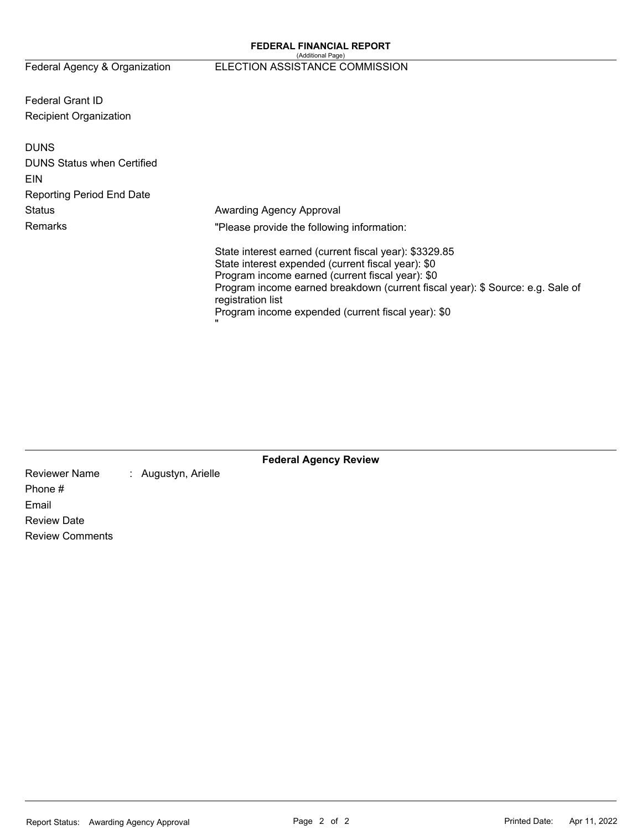#### (Additional Page) Federal Agency & Organization ELECTION ASSISTANCE COMMISSION

Federal Grant ID Recipient Organization

| <b>DUNS</b><br><b>DUNS Status when Certified</b><br>EIN<br><b>Reporting Period End Date</b> |                                                                                                                                                                                                                                                                                                                               |
|---------------------------------------------------------------------------------------------|-------------------------------------------------------------------------------------------------------------------------------------------------------------------------------------------------------------------------------------------------------------------------------------------------------------------------------|
| <b>Status</b>                                                                               | Awarding Agency Approval                                                                                                                                                                                                                                                                                                      |
| Remarks                                                                                     | "Please provide the following information:                                                                                                                                                                                                                                                                                    |
|                                                                                             | State interest earned (current fiscal year): \$3329.85<br>State interest expended (current fiscal year): \$0<br>Program income earned (current fiscal year): \$0<br>Program income earned breakdown (current fiscal year): \$ Source: e.g. Sale of<br>registration list<br>Program income expended (current fiscal year): \$0 |

|                        |                     | <b>Federal Agency Review</b> |  |
|------------------------|---------------------|------------------------------|--|
| <b>Reviewer Name</b>   | : Augustyn, Arielle |                              |  |
| Phone #                |                     |                              |  |
| Email                  |                     |                              |  |
| <b>Review Date</b>     |                     |                              |  |
| <b>Review Comments</b> |                     |                              |  |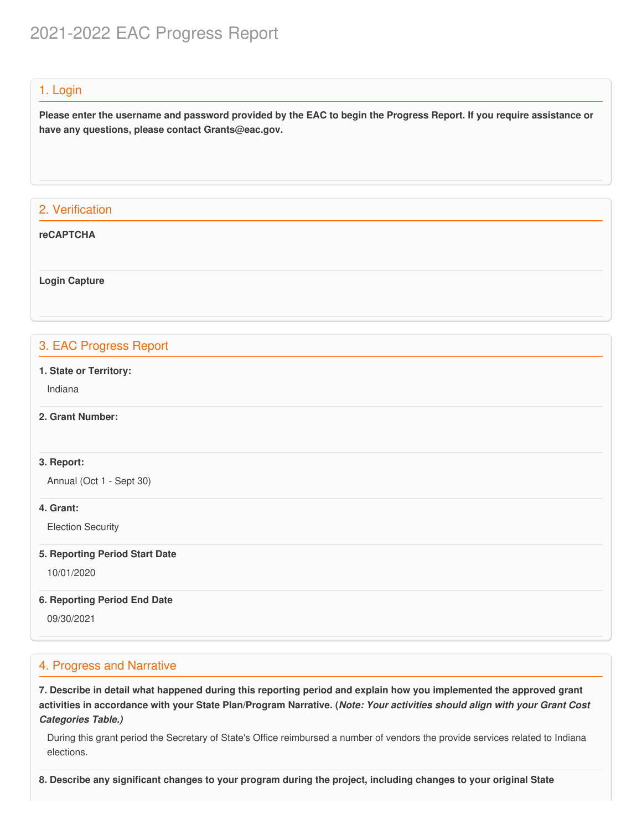# 2021-2022 EAC Progress Report

## 1. Login

Please enter the username and password provided by the EAC to begin the Progress Report. If you require assistance or  **have any questions, please contact [Grants@eac.gov](mailto:Grants@eac.gov).**

## 2. Verification

#### **reCAPTCHA**

**Login Capture**

## 3. EAC Progress Report

 **1. State or Territory:**

Indiana

## **2. Grant Number:**

#### **3. Report:**

Annual (Oct 1 - Sept 30)

#### **4. Grant:**

Election Security

#### **5. Reporting Period Start Date**

10/01/2020

#### **6. Reporting Period End Date**

09/30/2021

## 4. Progress and Narrative

7. Describe in detail what happened during this reporting period and explain how you implemented the approved grant activities in accordance with your State Plan/Program Narrative. (*Note: Your activities should align with your Grant Cost Categories Table.)*

 During this grant period the Secretary of State's Office reimbursed a number of vendors the provide services related to Indiana elections.

8. Describe any significant changes to your program during the project, including changes to your original State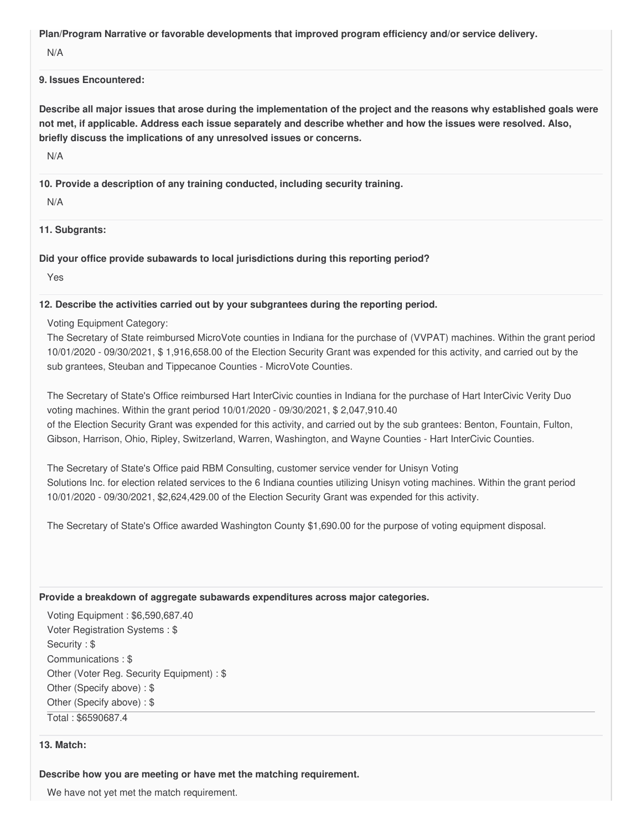**Plan/Program Narrative or favorable developments that improved program efficiency and/or service delivery.**

N/A

#### **9. Issues Encountered:**

Describe all major issues that arose during the implementation of the project and the reasons why established goals were not met, if applicable. Address each issue separately and describe whether and how the issues were resolved. Also,  **briefly discuss the implications of any unresolved issues or concerns.**

N/A

 **10. Provide a description of any training conducted, including security training.**

N/A

**11. Subgrants:**

 **Did your office provide subawards to local jurisdictions during this reporting period?**

Yes

## **12. Describe the activities carried out by your subgrantees during the reporting period.**

Voting Equipment Category:

 The Secretary of State reimbursed MicroVote counties in Indiana for the purchase of (VVPAT) machines. Within the grant period 10/01/2020 - 09/30/2021, \$ [1,916,658.00](https://1,916,658.00) of the Election Security Grant was expended for this activity, and carried out by the sub grantees, Steuban and Tippecanoe Counties - MicroVote Counties.

 The Secretary of State's Office reimbursed Hart InterCivic counties in Indiana for the purchase of Hart InterCivic Verity Duo voting machines. Within the grant period 10/01/2020 - 09/30/2021, \$ [2,047,910.40](https://2,047,910.40) of the Election Security Grant was expended for this activity, and carried out by the sub grantees: Benton, Fountain, Fulton, Gibson, Harrison, Ohio, Ripley, Switzerland, Warren, Washington, and Wayne Counties - Hart InterCivic Counties.

 The Secretary of State's Office paid RBM Consulting, customer service vender for Unisyn Voting Solutions Inc. for election related services to the 6 Indiana counties utilizing Unisyn voting machines. Within the grant period 10/01/2020 - 09/30/2021, [\\$2,624,429.00](https://2,624,429.00) of the Election Security Grant was expended for this activity.

The Secretary of State's Office awarded Washington County \$[1,690.00](https://1,690.00) for the purpose of voting equipment disposal.

#### **Provide a breakdown of aggregate subawards expenditures across major categories.**

 Voting Equipment : [\\$6,590,687.40](https://6,590,687.40) Voter Registration Systems : \$ Security : \$ Communications : \$ Other (Voter Reg. Security Equipment) : \$ Other (Specify above) : \$ Other (Specify above) : \$

Total : \$6590687.4

#### **13. Match:**

#### **Describe how you are meeting or have met the matching requirement.**

We have not yet met the match requirement.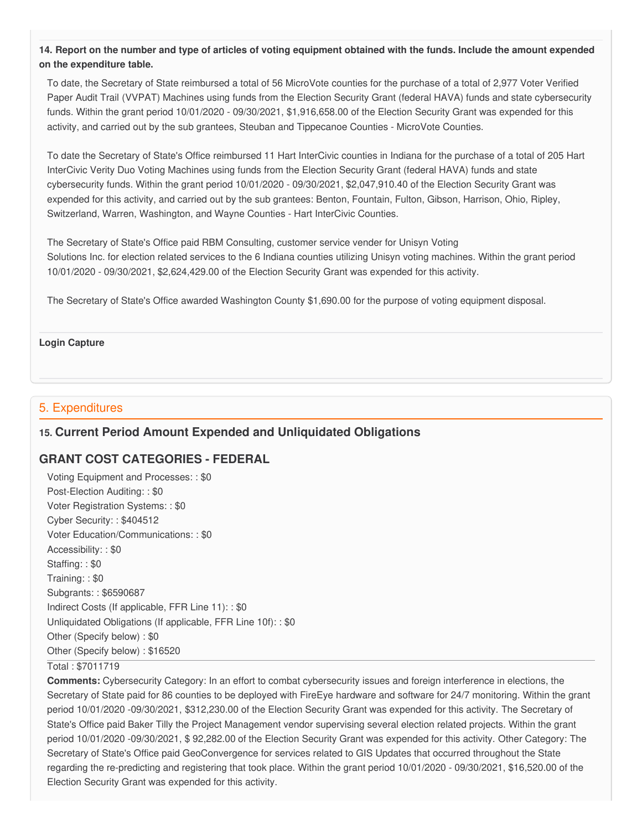14. Report on the number and type of articles of voting equipment obtained with the funds. Include the amount expended  **on the expenditure table.**

 To date, the Secretary of State reimbursed a total of 56 MicroVote counties for the purchase of a total of 2,977 Voter Verified Paper Audit Trail (VVPAT) Machines using funds from the Election Security Grant (federal HAVA) funds and state cybersecurity funds. Within the grant period 10/01/2020 - 09/30/2021, \$[1,916,658.00](https://1,916,658.00) of the Election Security Grant was expended for this activity, and carried out by the sub grantees, Steuban and Tippecanoe Counties - MicroVote Counties.

 To date the Secretary of State's Office reimbursed 11 Hart InterCivic counties in Indiana for the purchase of a total of 205 Hart InterCivic Verity Duo Voting Machines using funds from the Election Security Grant (federal HAVA) funds and state cybersecurity funds. Within the grant period 10/01/2020 - 09/30/2021, [\\$2,047,910.40](https://2,047,910.40) of the Election Security Grant was expended for this activity, and carried out by the sub grantees: Benton, Fountain, Fulton, Gibson, Harrison, Ohio, Ripley, Switzerland, Warren, Washington, and Wayne Counties - Hart InterCivic Counties.

 The Secretary of State's Office paid RBM Consulting, customer service vender for Unisyn Voting Solutions Inc. for election related services to the 6 Indiana counties utilizing Unisyn voting machines. Within the grant period 10/01/2020 - 09/30/2021, [\\$2,624,429.00](https://2,624,429.00) of the Election Security Grant was expended for this activity.

The Secretary of State's Office awarded Washington County \$[1,690.00](https://1,690.00) for the purpose of voting equipment disposal.

#### **Login Capture**

## 5. Expenditures

## **15. Current Period Amount Expended and Unliquidated Obligations**

## **GRANT COST CATEGORIES - FEDERAL**

 Voting Equipment and Processes: : \$0 Post-Election Auditing: : \$0 Voter Registration Systems: : \$0 Cyber Security: : \$404512 Voter Education/Communications: : \$0 Accessibility: : \$0 Staffing: : \$0 Training: : \$0 Subgrants: : \$6590687 Indirect Costs (If applicable, FFR Line 11): : \$0 Unliquidated Obligations (If applicable, FFR Line 10f): : \$0 Other (Specify below) : \$0 Other (Specify below) : \$16520

#### Total : \$7011719

 **Comments:** Cybersecurity Category: In an effort to combat cybersecurity issues and foreign interference in elections, the Secretary of State paid for 86 counties to be deployed with FireEye hardware and software for 24/7 monitoring. Within the grant period 10/01/2020 -09/30/2021, [\\$312,230.00](https://312,230.00) of the Election Security Grant was expended for this activity. The Secretary of State's Office paid Baker Tilly the Project Management vendor supervising several election related projects. Within the grant period 10/01/2020 -09/30/2021, \$ [92,282.00](https://92,282.00) of the Election Security Grant was expended for this activity. Other Category: The Secretary of State's Office paid GeoConvergence for services related to GIS Updates that occurred throughout the State regarding the re-predicting and registering that took place. Within the grant period 10/01/2020 - 09/30/2021, [\\$16,520.00](https://16,520.00) of the Election Security Grant was expended for this activity.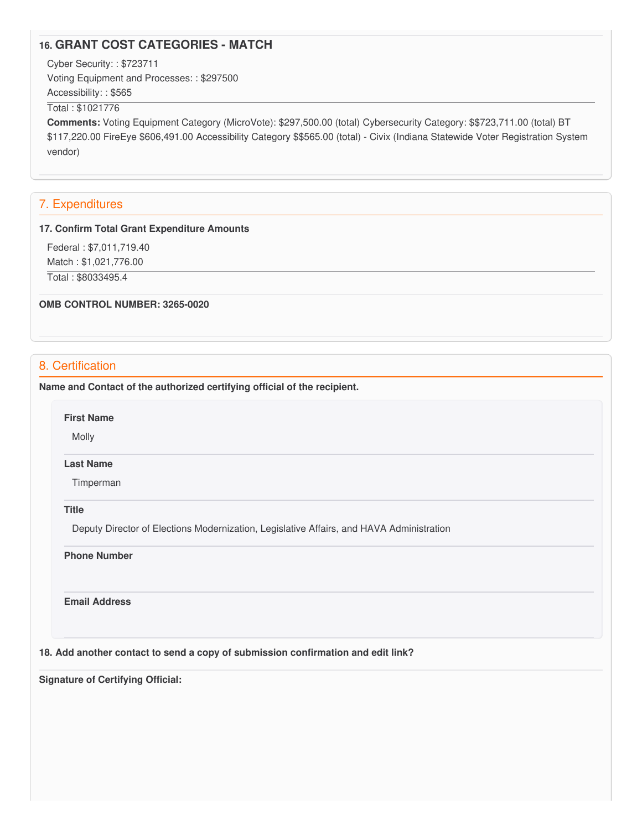## **16. GRANT COST CATEGORIES - MATCH**

Cyber Security: : \$723711

 Voting Equipment and Processes: : \$297500 Accessibility: : \$565

#### Total : \$1021776

 **Comments:** Voting Equipment Category (MicroVote): [\\$297,500.00](https://297,500.00) (total) Cybersecurity Category: \$\$[723,711.00](https://723,711.00) (total) BT [\\$117,220.00](https://117,220.00) FireEye [\\$606,491.00](https://606,491.00) Accessibility Category \$\$565.00 (total) - Civix (Indiana Statewide Voter Registration System vendor)

#### 7. Expenditures

#### **17. Confirm Total Grant Expenditure Amounts**

Federal : \$[7,011,719.40](https://7,011,719.40)

Match : \$[1,021,776.00](https://1,021,776.00)

Total : \$8033495.4

 **OMB CONTROL NUMBER: 3265-0020**

## 8. Certification

 **Name and Contact of the authorized certifying official of the recipient.**

**First Name**

Molly

#### **Last Name**

Timperman

#### **Title**

Deputy Director of Elections Modernization, Legislative Affairs, and HAVA Administration

#### **Phone Number**

**Email Address**

 **18. Add another contact to send a copy of submission confirmation and edit link?**

 **Signature of Certifying Official:**